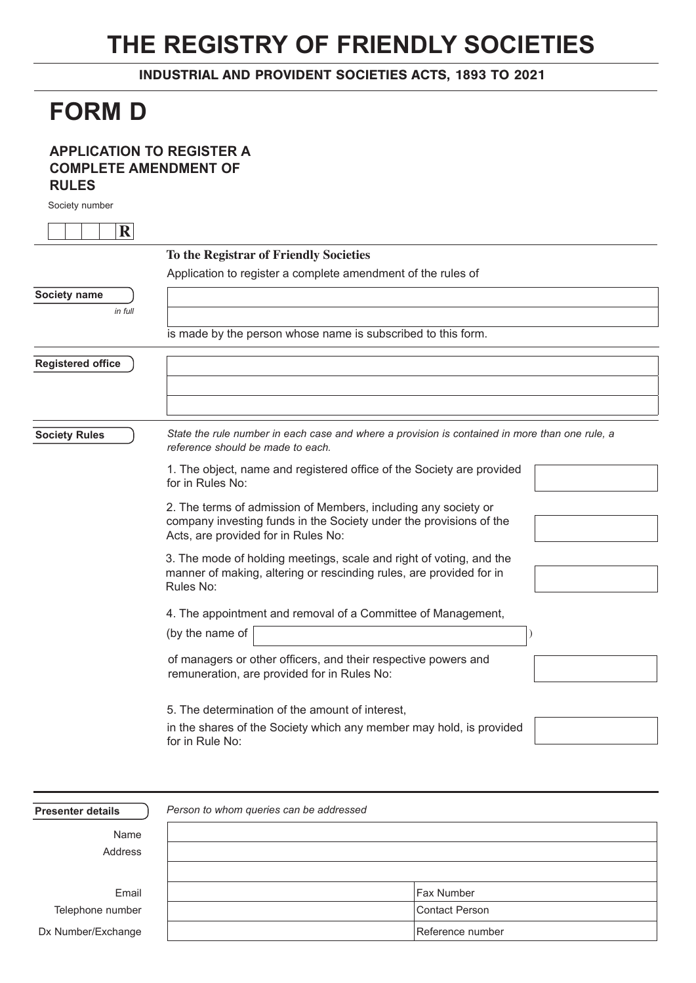## **THE REGISTRY OF FRIENDLY SOCIETIES**

INDUSTRIAL AND PROVIDENT SOCIETIES ACTS, 1893 TO 2021

## **FORM D**

## **APPLICATION TO REGISTER A COMPLETE AMENDMENT OF RULES**

Society number

| $\mathbf R$              |                                                                                                                                                                             |
|--------------------------|-----------------------------------------------------------------------------------------------------------------------------------------------------------------------------|
|                          | To the Registrar of Friendly Societies                                                                                                                                      |
|                          | Application to register a complete amendment of the rules of                                                                                                                |
| Society name             |                                                                                                                                                                             |
| in full                  |                                                                                                                                                                             |
|                          | is made by the person whose name is subscribed to this form.                                                                                                                |
| <b>Registered office</b> |                                                                                                                                                                             |
|                          |                                                                                                                                                                             |
| <b>Society Rules</b>     | State the rule number in each case and where a provision is contained in more than one rule, a<br>reference should be made to each.                                         |
|                          | 1. The object, name and registered office of the Society are provided<br>for in Rules No:                                                                                   |
|                          | 2. The terms of admission of Members, including any society or<br>company investing funds in the Society under the provisions of the<br>Acts, are provided for in Rules No: |
|                          | 3. The mode of holding meetings, scale and right of voting, and the<br>manner of making, altering or rescinding rules, are provided for in<br>Rules No:                     |
|                          | 4. The appointment and removal of a Committee of Management,                                                                                                                |
|                          | (by the name of                                                                                                                                                             |
|                          | of managers or other officers, and their respective powers and<br>remuneration, are provided for in Rules No:                                                               |
|                          | 5. The determination of the amount of interest.                                                                                                                             |
|                          | in the shares of the Society which any member may hold, is provided<br>for in Rule No:                                                                                      |
|                          |                                                                                                                                                                             |

| <b>Presenter details</b> | Person to whom queries can be addressed |
|--------------------------|-----------------------------------------|
| Name                     |                                         |
| Address                  |                                         |
|                          |                                         |
| Email                    | <b>Fax Number</b>                       |
| Telephone number         | Contact Person                          |
| Dx Number/Exchange       | Reference number                        |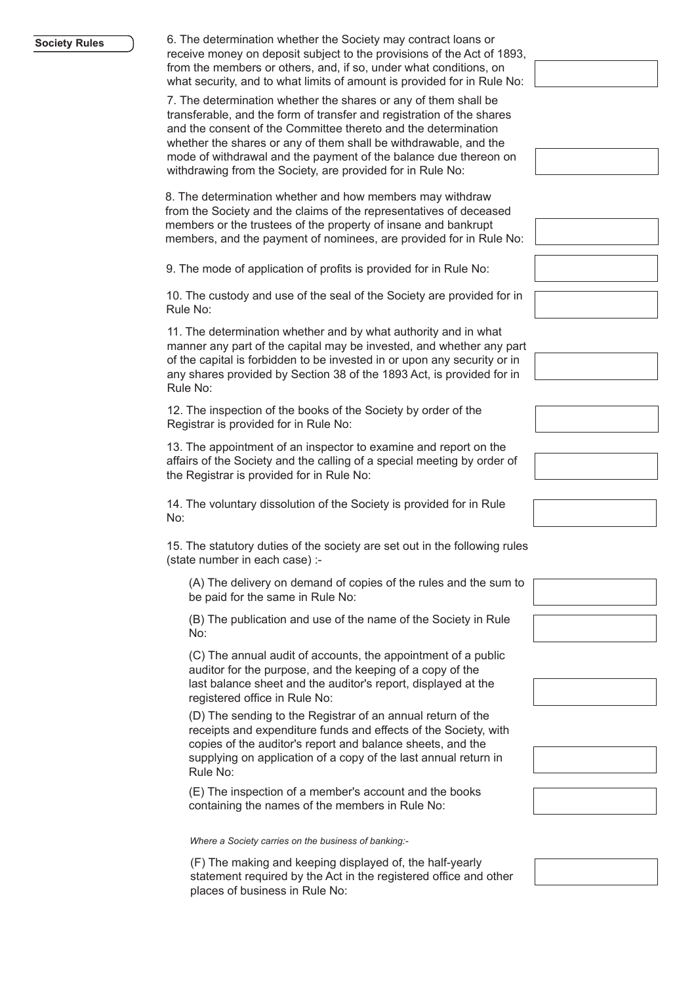## **Society Rules**

6. The determination whether the Society may contract loans or receive money on deposit subject to the provisions of the Act of 1893, from the members or others, and, if so, under what conditions, on what security, and to what limits of amount is provided for in Rule No:

7. The determination whether the shares or any of them shall be transferable, and the form of transfer and registration of the shares and the consent of the Committee thereto and the determination whether the shares or any of them shall be withdrawable, and the mode of withdrawal and the payment of the balance due thereon on withdrawing from the Society, are provided for in Rule No:

8. The determination whether and how members may withdraw from the Society and the claims of the representatives of deceased members or the trustees of the property of insane and bankrupt members, and the payment of nominees, are provided for in Rule No:

9. The mode of application of profits is provided for in Rule No:

10. The custody and use of the seal of the Society are provided for in Rule No:

11. The determination whether and by what authority and in what manner any part of the capital may be invested, and whether any part of the capital is forbidden to be invested in or upon any security or in any shares provided by Section 38 of the 1893 Act, is provided for in Rule No:

12. The inspection of the books of the Society by order of the Registrar is provided for in Rule No:

13. The appointment of an inspector to examine and report on the affairs of the Society and the calling of a special meeting by order of the Registrar is provided for in Rule No:

14. The voluntary dissolution of the Society is provided for in Rule No:

15. The statutory duties of the society are set out in the following rules (state number in each case) :-

(A) The delivery on demand of copies of the rules and the sum to be paid for the same in Rule No:

(B) The publication and use of the name of the Society in Rule No:

(C) The annual audit of accounts, the appointment of a public auditor for the purpose, and the keeping of a copy of the last balance sheet and the auditor's report, displayed at the registered office in Rule No:

(D) The sending to the Registrar of an annual return of the receipts and expenditure funds and effects of the Society, with copies of the auditor's report and balance sheets, and the supplying on application of a copy of the last annual return in Rule No:

(E) The inspection of a member's account and the books containing the names of the members in Rule No:

*Where a Society carries on the business of banking:-*

(F) The making and keeping displayed of, the half-yearly statement required by the Act in the registered office and other places of business in Rule No: